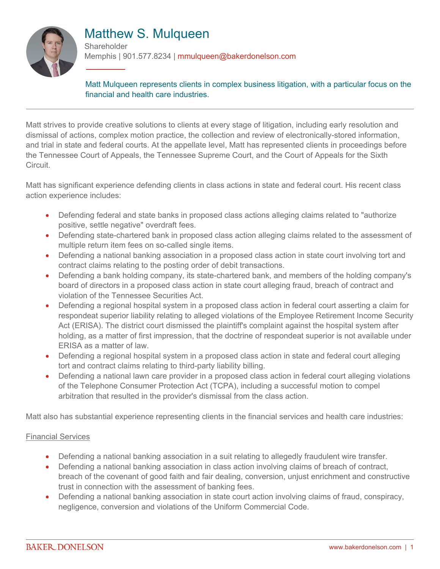

# Matthew S. Mulqueen

**Shareholder** Memphis | 901.577.8234 | mmulqueen@bakerdonelson.com

Matt Mulqueen represents clients in complex business litigation, with a particular focus on the financial and health care industries.

Matt strives to provide creative solutions to clients at every stage of litigation, including early resolution and dismissal of actions, complex motion practice, the collection and review of electronically-stored information, and trial in state and federal courts. At the appellate level, Matt has represented clients in proceedings before the Tennessee Court of Appeals, the Tennessee Supreme Court, and the Court of Appeals for the Sixth Circuit.

Matt has significant experience defending clients in class actions in state and federal court. His recent class action experience includes:

- Defending federal and state banks in proposed class actions alleging claims related to "authorize positive, settle negative" overdraft fees.
- Defending state-chartered bank in proposed class action alleging claims related to the assessment of multiple return item fees on so-called single items.
- Defending a national banking association in a proposed class action in state court involving tort and contract claims relating to the posting order of debit transactions.
- Defending a bank holding company, its state-chartered bank, and members of the holding company's board of directors in a proposed class action in state court alleging fraud, breach of contract and violation of the Tennessee Securities Act.
- Defending a regional hospital system in a proposed class action in federal court asserting a claim for respondeat superior liability relating to alleged violations of the Employee Retirement Income Security Act (ERISA). The district court dismissed the plaintiff's complaint against the hospital system after holding, as a matter of first impression, that the doctrine of respondeat superior is not available under ERISA as a matter of law.
- Defending a regional hospital system in a proposed class action in state and federal court alleging tort and contract claims relating to third-party liability billing.
- Defending a national lawn care provider in a proposed class action in federal court alleging violations of the Telephone Consumer Protection Act (TCPA), including a successful motion to compel arbitration that resulted in the provider's dismissal from the class action.

Matt also has substantial experience representing clients in the financial services and health care industries:

#### Financial Services

- Defending a national banking association in a suit relating to allegedly fraudulent wire transfer.
- Defending a national banking association in class action involving claims of breach of contract, breach of the covenant of good faith and fair dealing, conversion, unjust enrichment and constructive trust in connection with the assessment of banking fees.
- Defending a national banking association in state court action involving claims of fraud, conspiracy, negligence, conversion and violations of the Uniform Commercial Code.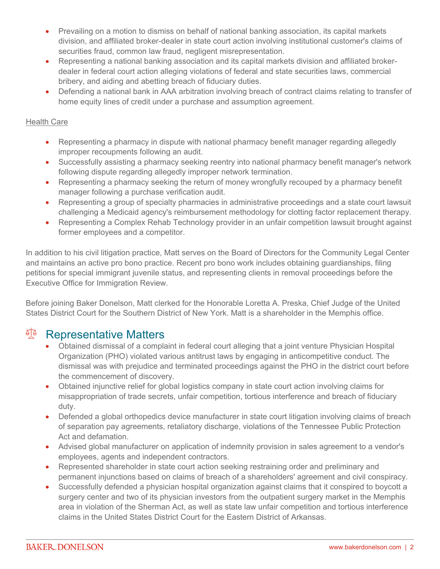- Prevailing on a motion to dismiss on behalf of national banking association, its capital markets division, and affiliated broker-dealer in state court action involving institutional customer's claims of securities fraud, common law fraud, negligent misrepresentation.
- Representing a national banking association and its capital markets division and affiliated brokerdealer in federal court action alleging violations of federal and state securities laws, commercial bribery, and aiding and abetting breach of fiduciary duties.
- Defending a national bank in AAA arbitration involving breach of contract claims relating to transfer of home equity lines of credit under a purchase and assumption agreement.

#### Health Care

- Representing a pharmacy in dispute with national pharmacy benefit manager regarding allegedly improper recoupments following an audit.
- Successfully assisting a pharmacy seeking reentry into national pharmacy benefit manager's network following dispute regarding allegedly improper network termination.
- Representing a pharmacy seeking the return of money wrongfully recouped by a pharmacy benefit manager following a purchase verification audit.
- Representing a group of specialty pharmacies in administrative proceedings and a state court lawsuit challenging a Medicaid agency's reimbursement methodology for clotting factor replacement therapy.
- Representing a Complex Rehab Technology provider in an unfair competition lawsuit brought against former employees and a competitor.

In addition to his civil litigation practice, Matt serves on the Board of Directors for the Community Legal Center and maintains an active pro bono practice. Recent pro bono work includes obtaining guardianships, filing petitions for special immigrant juvenile status, and representing clients in removal proceedings before the Executive Office for Immigration Review.

Before joining Baker Donelson, Matt clerked for the Honorable Loretta A. Preska, Chief Judge of the United States District Court for the Southern District of New York. Matt is a shareholder in the Memphis office.

### <sup>en</sup> Representative Matters

- Obtained dismissal of a complaint in federal court alleging that a joint venture Physician Hospital Organization (PHO) violated various antitrust laws by engaging in anticompetitive conduct. The dismissal was with prejudice and terminated proceedings against the PHO in the district court before the commencement of discovery.
- Obtained injunctive relief for global logistics company in state court action involving claims for misappropriation of trade secrets, unfair competition, tortious interference and breach of fiduciary duty.
- Defended a global orthopedics device manufacturer in state court litigation involving claims of breach of separation pay agreements, retaliatory discharge, violations of the Tennessee Public Protection Act and defamation.
- Advised global manufacturer on application of indemnity provision in sales agreement to a vendor's employees, agents and independent contractors.
- Represented shareholder in state court action seeking restraining order and preliminary and permanent injunctions based on claims of breach of a shareholders' agreement and civil conspiracy.
- Successfully defended a physician hospital organization against claims that it conspired to boycott a surgery center and two of its physician investors from the outpatient surgery market in the Memphis area in violation of the Sherman Act, as well as state law unfair competition and tortious interference claims in the United States District Court for the Eastern District of Arkansas.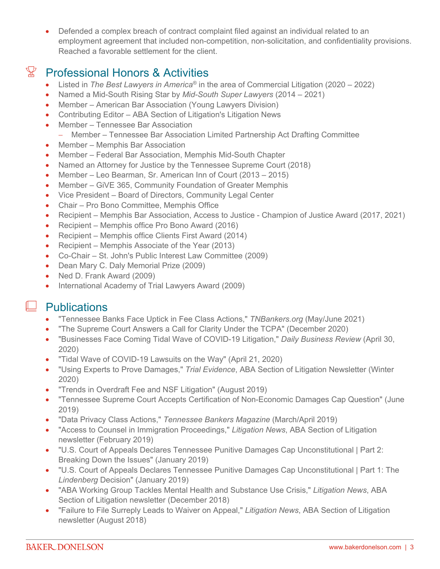Defended a complex breach of contract complaint filed against an individual related to an employment agreement that included non-competition, non-solicitation, and confidentiality provisions. Reached a favorable settlement for the client.

## $\mathbb{X}$  Professional Honors & Activities

- Listed in *The Best Lawyers in America®* in the area of Commercial Litigation (2020 2022)
- Named a Mid-South Rising Star by *Mid-South Super Lawyers* (2014 2021)
- Member American Bar Association (Young Lawyers Division)
- Contributing Editor ABA Section of Litigation's Litigation News
- Member Tennessee Bar Association
	- Member Tennessee Bar Association Limited Partnership Act Drafting Committee
- Member Memphis Bar Association
- Member Federal Bar Association, Memphis Mid-South Chapter
- Named an Attorney for Justice by the Tennessee Supreme Court (2018)
- Member Leo Bearman, Sr. American Inn of Court (2013 2015)
- Member GiVE 365, Community Foundation of Greater Memphis
- Vice President Board of Directors, Community Legal Center
- Chair Pro Bono Committee, Memphis Office
- Recipient Memphis Bar Association, Access to Justice Champion of Justice Award (2017, 2021)
- Recipient Memphis office Pro Bono Award (2016)
- Recipient Memphis office Clients First Award (2014)
- Recipient Memphis Associate of the Year (2013)
- Co-Chair St. John's Public Interest Law Committee (2009)
- Dean Mary C. Daly Memorial Prize (2009)
- Ned D. Frank Award (2009)
- International Academy of Trial Lawyers Award (2009)

### $\perp$  Publications

- "Tennessee Banks Face Uptick in Fee Class Actions," *TNBankers.org* (May/June 2021)
- "The Supreme Court Answers a Call for Clarity Under the TCPA" (December 2020)
- "Businesses Face Coming Tidal Wave of COVID-19 Litigation," *Daily Business Review* (April 30, 2020)
- "Tidal Wave of COVID-19 Lawsuits on the Way" (April 21, 2020)
- "Using Experts to Prove Damages," *Trial Evidence*, ABA Section of Litigation Newsletter (Winter 2020)
- "Trends in Overdraft Fee and NSF Litigation" (August 2019)
- "Tennessee Supreme Court Accepts Certification of Non-Economic Damages Cap Question" (June 2019)
- "Data Privacy Class Actions," *Tennessee Bankers Magazine* (March/April 2019)
- "Access to Counsel in Immigration Proceedings," *Litigation News*, ABA Section of Litigation newsletter (February 2019)
- "U.S. Court of Appeals Declares Tennessee Punitive Damages Cap Unconstitutional | Part 2: Breaking Down the Issues" (January 2019)
- "U.S. Court of Appeals Declares Tennessee Punitive Damages Cap Unconstitutional | Part 1: The *Lindenberg* Decision" (January 2019)
- "ABA Working Group Tackles Mental Health and Substance Use Crisis," *Litigation News*, ABA Section of Litigation newsletter (December 2018)
- "Failure to File Surreply Leads to Waiver on Appeal," *Litigation News*, ABA Section of Litigation newsletter (August 2018)